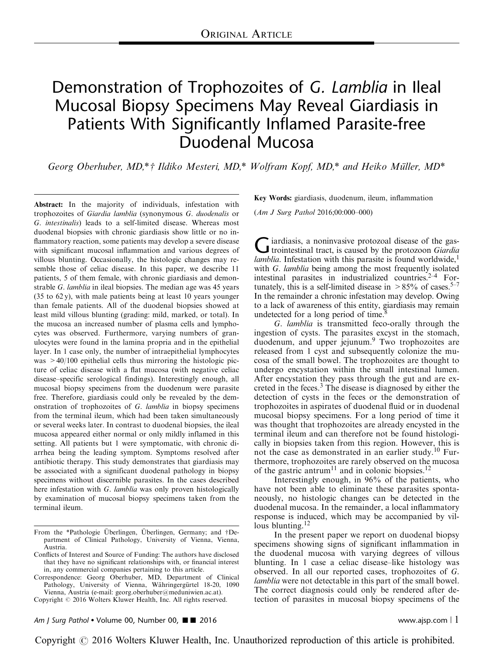# Demonstration of Trophozoites of G. Lamblia in Ileal Mucosal Biopsy Specimens May Reveal Giardiasis in Patients With Significantly Inflamed Parasite-free Duodenal Mucosa

Georg Oberhuber, MD,\*† Ildiko Mesteri, MD,\* Wolfram Kopf, MD,\* and Heiko Müller, MD\*

Abstract: In the majority of individuals, infestation with trophozoites of Giardia lamblia (synonymous G. duodenalis or G. intestinalis) leads to a self-limited disease. Whereas most duodenal biopsies with chronic giardiasis show little or no inflammatory reaction, some patients may develop a severe disease with significant mucosal inflammation and various degrees of villous blunting. Occasionally, the histologic changes may resemble those of celiac disease. In this paper, we describe 11 patients, 5 of them female, with chronic giardiasis and demonstrable G. lamblia in ileal biopsies. The median age was 45 years (35 to 62 y), with male patients being at least 10 years younger than female patients. All of the duodenal biopsies showed at least mild villous blunting (grading: mild, marked, or total). In the mucosa an increased number of plasma cells and lymphocytes was observed. Furthermore, varying numbers of granulocytes were found in the lamina propria and in the epithelial layer. In 1 case only, the number of intraepithelial lymphocytes was  $>40/100$  epithelial cells thus mirroring the histologic picture of celiac disease with a flat mucosa (with negative celiac disease–specific serological findings). Interestingly enough, all mucosal biopsy specimens from the duodenum were parasite free. Therefore, giardiasis could only be revealed by the demonstration of trophozoites of G. lamblia in biopsy specimens from the terminal ileum, which had been taken simultaneously or several weeks later. In contrast to duodenal biopsies, the ileal mucosa appeared either normal or only mildly inflamed in this setting. All patients but 1 were symptomatic, with chronic diarrhea being the leading symptom. Symptoms resolved after antibiotic therapy. This study demonstrates that giardiasis may be associated with a significant duodenal pathology in biopsy specimens without discernible parasites. In the cases described here infestation with G. *lamblia* was only proven histologically by examination of mucosal biopsy specimens taken from the terminal ileum.

Copyright © 2016 Wolters Kluwer Health, Inc. All rights reserved.

Key Words: giardiasis, duodenum, ileum, inflammation

(Am J Surg Pathol 2016;00:000–000)

Giardiasis, a noninvasive protozoal disease of the gas-<br>trointestinal tract, is caused by the protozoon Giardia *lamblia*. Infestation with this parasite is found worldwide,<sup>[1](#page-5-0)</sup> with G. lamblia being among the most frequently isolated intestinal parasites in industrialized countries. $2-4$  Fortunately, this is a self-limited disease in  $>85\%$  of cases.<sup>[5–7](#page-5-0)</sup> In the remainder a chronic infestation may develop. Owing to a lack of awareness of this entity, giardiasis may remain undetected for a long period of time[.8](#page-5-0)

G. lamblia is transmitted feco-orally through the ingestion of cysts. The parasites excyst in the stomach, duodenum, and upper jejunum.<sup>[9](#page-5-0)</sup> Two trophozoites are released from 1 cyst and subsequently colonize the mucosa of the small bowel. The trophozoites are thought to undergo encystation within the small intestinal lumen. After encystation they pass through the gut and are excreted in the feces.[3](#page-5-0) The disease is diagnosed by either the detection of cysts in the feces or the demonstration of trophozoites in aspirates of duodenal fluid or in duodenal mucosal biopsy specimens. For a long period of time it was thought that trophozoites are already encysted in the terminal ileum and can therefore not be found histologically in biopsies taken from this region. However, this is not the case as demonstrated in an earlier study.<sup>[10](#page-5-0)</sup> Furthermore, trophozoites are rarely observed on the mucosa of the gastric antrum<sup>[11](#page-5-0)</sup> and in colonic biopsies.<sup>[12](#page-5-0)</sup>

Interestingly enough, in 96% of the patients, who have not been able to eliminate these parasites spontaneously, no histologic changes can be detected in the duodenal mucosa. In the remainder, a local inflammatory response is induced, which may be accompanied by vil-lous blunting.<sup>[12](#page-5-0)</sup>

In the present paper we report on duodenal biopsy specimens showing signs of significant inflammation in the duodenal mucosa with varying degrees of villous blunting. In 1 case a celiac disease–like histology was observed. In all our reported cases, trophozoites of G. *lamblia* were not detectable in this part of the small bowel. The correct diagnosis could only be rendered after detection of parasites in mucosal biopsy specimens of the

From the \*Pathologie Überlingen, Überlingen, Germany; and †Department of Clinical Pathology, University of Vienna, Vienna, Austria.

Conflicts of Interest and Source of Funding: The authors have disclosed that they have no significant relationships with, or financial interest in, any commercial companies pertaining to this article.

Correspondence: Georg Oberhuber, MD, Department of Clinical Pathology, University of Vienna, Währingergürtel 18-20, 1090 Vienna, Austria (e-mail: [georg.oberhuber@meduniwien.ac.at](mailto:georg.oberhuber@meduniwien.ac.at)).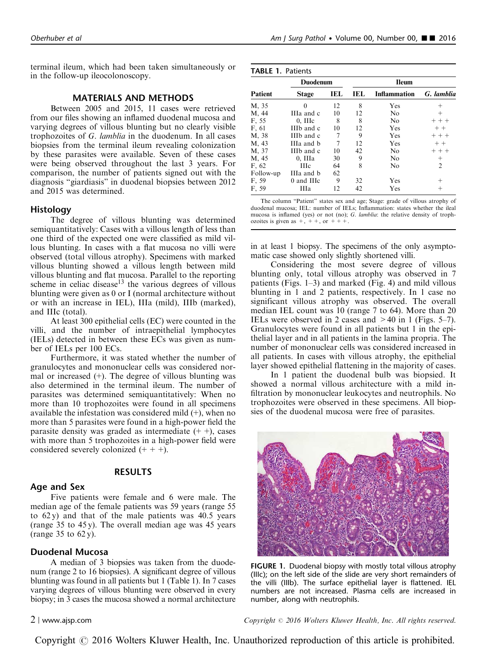terminal ileum, which had been taken simultaneously or in the follow-up ileocolonoscopy.

#### MATERIALS AND METHODS

Between 2005 and 2015, 11 cases were retrieved from our files showing an inflamed duodenal mucosa and varying degrees of villous blunting but no clearly visible trophozoites of G. lamblia in the duodenum. In all cases biopsies from the terminal ileum revealing colonization by these parasites were available. Seven of these cases were being observed throughout the last 3 years. For comparison, the number of patients signed out with the diagnosis "giardiasis" in duodenal biopsies between 2012 and 2015 was determined.

#### Histology

The degree of villous blunting was determined semiquantitatively: Cases with a villous length of less than one third of the expected one were classified as mild villous blunting. In cases with a flat mucosa no villi were observed (total villous atrophy). Specimens with marked villous blunting showed a villous length between mild villous blunting and flat mucosa. Parallel to the reporting scheme in celiac disease<sup>[13](#page-5-0)</sup> the various degrees of villous blunting were given as 0 or I (normal architecture without or with an increase in IEL), IIIa (mild), IIIb (marked), and IIIc (total).

At least 300 epithelial cells (EC) were counted in the villi, and the number of intraepithelial lymphocytes (IELs) detected in between these ECs was given as number of IELs per 100 ECs.

Furthermore, it was stated whether the number of granulocytes and mononuclear cells was considered normal or increased (+). The degree of villous blunting was also determined in the terminal ileum. The number of parasites was determined semiquantitatively: When no more than 10 trophozoites were found in all specimens available the infestation was considered mild  $(+)$ , when no more than 5 parasites were found in a high-power field the parasite density was graded as intermediate  $(+)$ , cases with more than 5 trophozoites in a high-power field were considered severely colonized  $(+ + +)$ .

# RESULTS

# Age and Sex

Five patients were female and 6 were male. The median age of the female patients was 59 years (range 55 to  $62 y$ ) and that of the male patients was  $40.5$  years (range 35 to 45 y). The overall median age was 45 years (range 35 to 62 y).

#### Duodenal Mucosa

A median of 3 biopsies was taken from the duodenum (range 2 to 16 biopsies). A significant degree of villous blunting was found in all patients but 1 (Table 1). In 7 cases varying degrees of villous blunting were observed in every biopsy; in 3 cases the mucosa showed a normal architecture

TABLE 1. Patients

| Patient   | <b>Duodenum</b> |     | <b>Ileum</b> |                     |                |
|-----------|-----------------|-----|--------------|---------------------|----------------|
|           | <b>Stage</b>    | IEL | IEL          | <b>Inflammation</b> | G. lamblia     |
| M, 35     | 0               | 12  | 8            | Yes                 | $^+$           |
| M, 44     | IIIa and c      | 10  | 12           | N <sub>0</sub>      | $^{+}$         |
| F. 55     | $0.$ III $c$    | 8   | 8            | No                  | $++$           |
| F, 61     | IIIb and c      | 10  | 12           | Yes                 | $++$           |
| M, 38     | IIIb and c      | 7   | 9            | Yes                 | $+ + +$        |
| M, 43     | IIIa and b      | 7   | 12           | Yes                 | $+ +$          |
| M, 37     | IIIb and c      | 10  | 42           | No                  | $+ + +$        |
| M, 45     | 0. IIIa         | 30  | 9            | No                  | $^{+}$         |
| F, 62     | <b>HI</b> c     | 64  | 8            | No                  | $\overline{2}$ |
| Follow-up | IIIa and b      | 62  |              |                     |                |
| F. 59     | 0 and HIc       | 9   | 32           | Yes                 | $^+$           |
| F. 59     | Ша              | 12  | 42           | Yes                 | $^+$           |

The column "Patient" states sex and age; Stage: grade of villous atrophy of duodenal mucosa; IEL: number of IELs; Inflammation: states whether the ileal mucosa is inflamed (yes) or not (no); G. lamblia: the relative density of trophozoites is given as  $+, ++,$  or  $+++$ .

in at least 1 biopsy. The specimens of the only asymptomatic case showed only slightly shortened villi.

Considering the most severe degree of villous blunting only, total villous atrophy was observed in 7 patients (Figs. 1–3) and marked [\(Fig. 4\)](#page-2-0) and mild villous blunting in 1 and 2 patients, respectively. In 1 case no significant villous atrophy was observed. The overall median IEL count was 10 (range 7 to 64). More than 20 IELs were observed in 2 cases and >40 in 1 [\(Figs. 5–7](#page-2-0)). Granulocytes were found in all patients but 1 in the epithelial layer and in all patients in the lamina propria. The number of mononuclear cells was considered increased in all patients. In cases with villous atrophy, the epithelial layer showed epithelial flattening in the majority of cases.

In 1 patient the duodenal bulb was biopsied. It showed a normal villous architecture with a mild infiltration by mononuclear leukocytes and neutrophils. No trophozoites were observed in these specimens. All biopsies of the duodenal mucosa were free of parasites.



FIGURE 1. Duodenal biopsy with mostly total villous atrophy (IIIc); on the left side of the slide are very short remainders of the villi (IIIb). The surface epithelial layer is flattened. IEL numbers are not increased. Plasma cells are increased in number, along with neutrophils.

2 <sup>|</sup> www.ajsp.com Copyright <sup>r</sup> 2016 Wolters Kluwer Health, Inc. All rights reserved.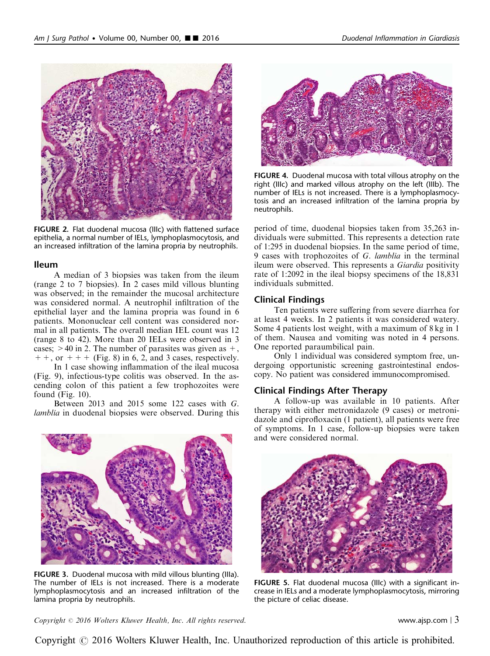<span id="page-2-0"></span>

FIGURE 2. Flat duodenal mucosa (IIIc) with flattened surface epithelia, a normal number of IELs, lymphoplasmocytosis, and an increased infiltration of the lamina propria by neutrophils.

# Ileum

A median of 3 biopsies was taken from the ileum (range 2 to 7 biopsies). In 2 cases mild villous blunting was observed; in the remainder the mucosal architecture was considered normal. A neutrophil infiltration of the epithelial layer and the lamina propria was found in 6 patients. Mononuclear cell content was considered normal in all patients. The overall median IEL count was 12 (range 8 to 42). More than 20 IELs were observed in 3 cases;  $>40$  in 2. The number of parasites was given as  $+$ ,  $++$ , or  $++$  ([Fig. 8\)](#page-3-0) in 6, 2, and 3 cases, respectively.

In 1 case showing inflammation of the ileal mucosa ([Fig. 9](#page-3-0)), infectious-type colitis was observed. In the ascending colon of this patient a few trophozoites were found ([Fig. 10\)](#page-4-0).

Between 2013 and 2015 some 122 cases with G. lamblia in duodenal biopsies were observed. During this



FIGURE 3. Duodenal mucosa with mild villous blunting (IIIa). The number of IELs is not increased. There is a moderate lymphoplasmocytosis and an increased infiltration of the lamina propria by neutrophils.

FIGURE 4. Duodenal mucosa with total villous atrophy on the right (IIIc) and marked villous atrophy on the left (IIIb). The number of IELs is not increased. There is a lymphoplasmocytosis and an increased infiltration of the lamina propria by neutrophils.

period of time, duodenal biopsies taken from 35,263 individuals were submitted. This represents a detection rate of 1:295 in duodenal biopsies. In the same period of time, 9 cases with trophozoites of G. lamblia in the terminal ileum were observed. This represents a Giardia positivity rate of 1:2092 in the ileal biopsy specimens of the 18,831 individuals submitted.

#### Clinical Findings

Ten patients were suffering from severe diarrhea for at least 4 weeks. In 2 patients it was considered watery. Some 4 patients lost weight, with a maximum of 8 kg in 1 of them. Nausea and vomiting was noted in 4 persons. One reported paraumbilical pain.

Only 1 individual was considered symptom free, undergoing opportunistic screening gastrointestinal endoscopy. No patient was considered immunocompromised.

#### Clinical Findings After Therapy

A follow-up was available in 10 patients. After therapy with either metronidazole (9 cases) or metronidazole and ciprofloxacin (1 patient), all patients were free of symptoms. In 1 case, follow-up biopsies were taken and were considered normal.



FIGURE 5. Flat duodenal mucosa (IIIc) with a significant increase in IELs and a moderate lymphoplasmocytosis, mirroring the picture of celiac disease.

 $Copyright © 2016 Wolters Kluwer Health, Inc. All rights reserved.$  exerved. www.ajsp.com | 3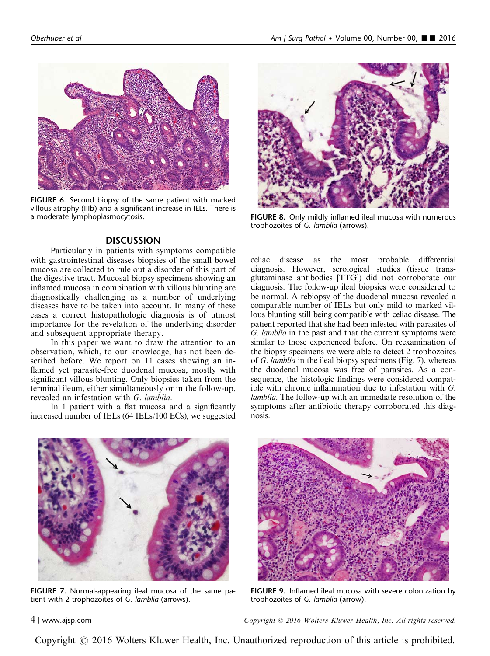<span id="page-3-0"></span>

FIGURE 6. Second biopsy of the same patient with marked villous atrophy (IIIb) and a significant increase in IELs. There is a moderate lymphoplasmocytosis.

# **DISCUSSION**

Particularly in patients with symptoms compatible with gastrointestinal diseases biopsies of the small bowel mucosa are collected to rule out a disorder of this part of the digestive tract. Mucosal biopsy specimens showing an inflamed mucosa in combination with villous blunting are diagnostically challenging as a number of underlying diseases have to be taken into account. In many of these cases a correct histopathologic diagnosis is of utmost importance for the revelation of the underlying disorder and subsequent appropriate therapy.

In this paper we want to draw the attention to an observation, which, to our knowledge, has not been described before. We report on 11 cases showing an inflamed yet parasite-free duodenal mucosa, mostly with significant villous blunting. Only biopsies taken from the terminal ileum, either simultaneously or in the follow-up, revealed an infestation with G. lamblia.

In 1 patient with a flat mucosa and a significantly increased number of IELs (64 IELs/100 ECs), we suggested



FIGURE 8. Only mildly inflamed ileal mucosa with numerous trophozoites of G. lamblia (arrows).

celiac disease as the most probable differential diagnosis. However, serological studies (tissue transglutaminase antibodies [TTG]) did not corroborate our diagnosis. The follow-up ileal biopsies were considered to be normal. A rebiopsy of the duodenal mucosa revealed a comparable number of IELs but only mild to marked villous blunting still being compatible with celiac disease. The patient reported that she had been infested with parasites of G. lamblia in the past and that the current symptoms were similar to those experienced before. On reexamination of the biopsy specimens we were able to detect 2 trophozoites of G. lamblia in the ileal biopsy specimens (Fig. 7), whereas the duodenal mucosa was free of parasites. As a consequence, the histologic findings were considered compatible with chronic inflammation due to infestation with G. lamblia. The follow-up with an immediate resolution of the symptoms after antibiotic therapy corroborated this diagnosis.



FIGURE 7. Normal-appearing ileal mucosa of the same patient with 2 trophozoites of G. lamblia (arrows).



FIGURE 9. Inflamed ileal mucosa with severe colonization by trophozoites of G. lamblia (arrow).

4 <sup>|</sup> www.ajsp.com Copyright <sup>r</sup> 2016 Wolters Kluwer Health, Inc. All rights reserved.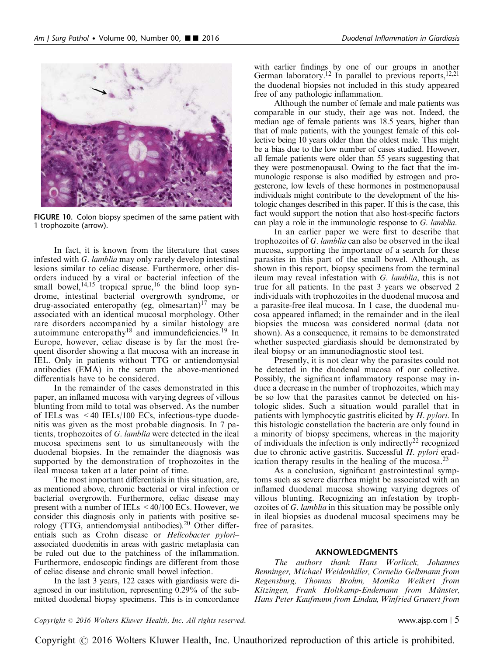<span id="page-4-0"></span>

FIGURE 10. Colon biopsy specimen of the same patient with 1 trophozoite (arrow).

In fact, it is known from the literature that cases infested with G. lamblia may only rarely develop intestinal lesions similar to celiac disease. Furthermore, other disorders induced by a viral or bacterial infection of the small bowel,  $14,15$  tropical sprue,  $16$  the blind loop syndrome, intestinal bacterial overgrowth syndrome, or drug-associated enteropathy (eg, olmesartan) $17$  may be associated with an identical mucosal morphology. Other rare disorders accompanied by a similar histology are autoimmune enteropathy<sup>[18](#page-5-0)</sup> and immundeficiencies.<sup>[19](#page-5-0)</sup> In Europe, however, celiac disease is by far the most frequent disorder showing a flat mucosa with an increase in IEL. Only in patients without TTG or antiendomysial antibodies (EMA) in the serum the above-mentioned differentials have to be considered.

In the remainder of the cases demonstrated in this paper, an inflamed mucosa with varying degrees of villous blunting from mild to total was observed. As the number of IELs was <40 IELs/100 ECs, infectious-type duodenitis was given as the most probable diagnosis. In 7 patients, trophozoites of G. lamblia were detected in the ileal mucosa specimens sent to us simultaneously with the duodenal biopsies. In the remainder the diagnosis was supported by the demonstration of trophozoites in the ileal mucosa taken at a later point of time.

The most important differentials in this situation, are, as mentioned above, chronic bacterial or viral infection or bacterial overgrowth. Furthermore, celiac disease may present with a number of IELs  $\leq 40/100$  ECs. However, we consider this diagnosis only in patients with positive se-rology (TTG, antiendomysial antibodies).<sup>[20](#page-5-0)</sup> Other differentials such as Crohn disease or Helicobacter pylori– associated duodenitis in areas with gastric metaplasia can be ruled out due to the patchiness of the inflammation. Furthermore, endoscopic findings are different from those of celiac disease and chronic small bowel infection.

In the last 3 years, 122 cases with giardiasis were diagnosed in our institution, representing 0.29% of the submitted duodenal biopsy specimens. This is in concordance with earlier findings by one of our groups in another German laboratory.<sup>12</sup> In parallel to previous reports,<sup>12,21</sup> the duodenal biopsies not included in this study appeared free of any pathologic inflammation.

Although the number of female and male patients was comparable in our study, their age was not. Indeed, the median age of female patients was 18.5 years, higher than that of male patients, with the youngest female of this collective being 10 years older than the oldest male. This might be a bias due to the low number of cases studied. However, all female patients were older than 55 years suggesting that they were postmenopausal. Owing to the fact that the immunologic response is also modified by estrogen and progesterone, low levels of these hormones in postmenopausal individuals might contribute to the development of the histologic changes described in this paper. If this is the case, this fact would support the notion that also host-specific factors can play a role in the immunologic response to G. lamblia.

In an earlier paper we were first to describe that trophozoites of G. lamblia can also be observed in the ileal mucosa, supporting the importance of a search for these parasites in this part of the small bowel. Although, as shown in this report, biopsy specimens from the terminal ileum may reveal infestation with G. lamblia, this is not true for all patients. In the past 3 years we observed 2 individuals with trophozoites in the duodenal mucosa and a parasite-free ileal mucosa. In 1 case, the duodenal mucosa appeared inflamed; in the remainder and in the ileal biopsies the mucosa was considered normal (data not shown). As a consequence, it remains to be demonstrated whether suspected giardiasis should be demonstrated by ileal biopsy or an immunodiagnostic stool test.

Presently, it is not clear why the parasites could not be detected in the duodenal mucosa of our collective. Possibly, the significant inflammatory response may induce a decrease in the number of trophozoites, which may be so low that the parasites cannot be detected on histologic slides. Such a situation would parallel that in patients with lymphocytic gastritis elicited by H. pylori. In this histologic constellation the bacteria are only found in a minority of biopsy specimens, whereas in the majority of individuals the infection is only indirectly<sup>[22](#page-5-0)</sup> recognized due to chronic active gastritis. Successful H. pylori erad-ication therapy results in the healing of the mucosa.<sup>[23](#page-5-0)</sup>

As a conclusion, significant gastrointestinal symptoms such as severe diarrhea might be associated with an inflamed duodenal mucosa showing varying degrees of villous blunting. Recognizing an infestation by trophozoites of G. lamblia in this situation may be possible only in ileal biopsies as duodenal mucosal specimens may be free of parasites.

#### AKNOWLEDGMENTS

The authors thank Hans Worlicek, Johannes Benninger, Michael Weidenhiller, Cornelia Gelbmann from Regensburg, Thomas Brohm, Monika Weikert from Kitzingen, Frank Holtkamp-Endemann from Münster, Hans Peter Kaufmann from Lindau, Winfried Grunert from

#### $Copyright © 2016 Wolters Kluwer Health, Inc. All rights reserved.$  www.ajsp.com | 5